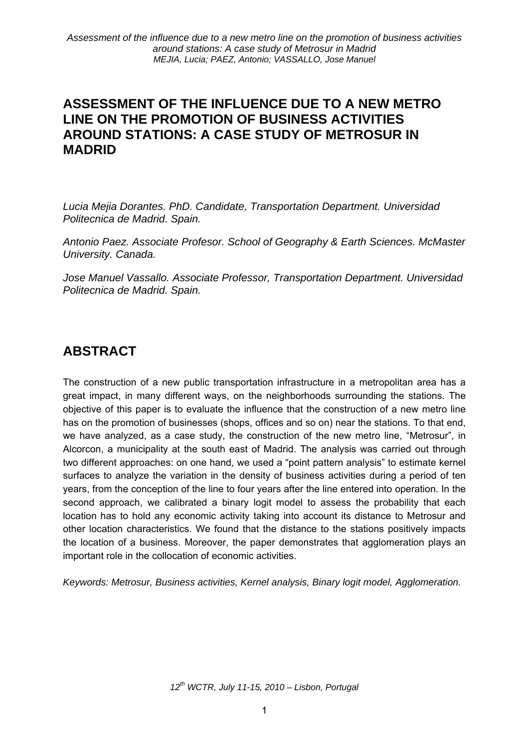## **ASSESSMENT OF THE INFLUENCE DUE TO A NEW METRO LINE ON THE PROMOTION OF BUSINESS ACTIVITIES AROUND STATIONS: A CASE STUDY OF METROSUR IN MADRID**

*Lucia Mejia Dorantes. PhD. Candidate, Transportation Department. Universidad Politecnica de Madrid. Spain.* 

*Antonio Paez. Associate Profesor. School of Geography & Earth Sciences. McMaster University. Canada.* 

*Jose Manuel Vassallo. Associate Professor, Transportation Department. Universidad Politecnica de Madrid. Spain.* 

# **ABSTRACT**

The construction of a new public transportation infrastructure in a metropolitan area has a great impact, in many different ways, on the neighborhoods surrounding the stations. The objective of this paper is to evaluate the influence that the construction of a new metro line has on the promotion of businesses (shops, offices and so on) near the stations. To that end, we have analyzed, as a case study, the construction of the new metro line, "Metrosur", in Alcorcon, a municipality at the south east of Madrid. The analysis was carried out through two different approaches: on one hand, we used a "point pattern analysis" to estimate kernel surfaces to analyze the variation in the density of business activities during a period of ten years, from the conception of the line to four years after the line entered into operation. In the second approach, we calibrated a binary logit model to assess the probability that each location has to hold any economic activity taking into account its distance to Metrosur and other location characteristics. We found that the distance to the stations positively impacts the location of a business. Moreover, the paper demonstrates that agglomeration plays an important role in the collocation of economic activities.

*Keywords: Metrosur, Business activities, Kernel analysis, Binary logit model, Agglomeration.*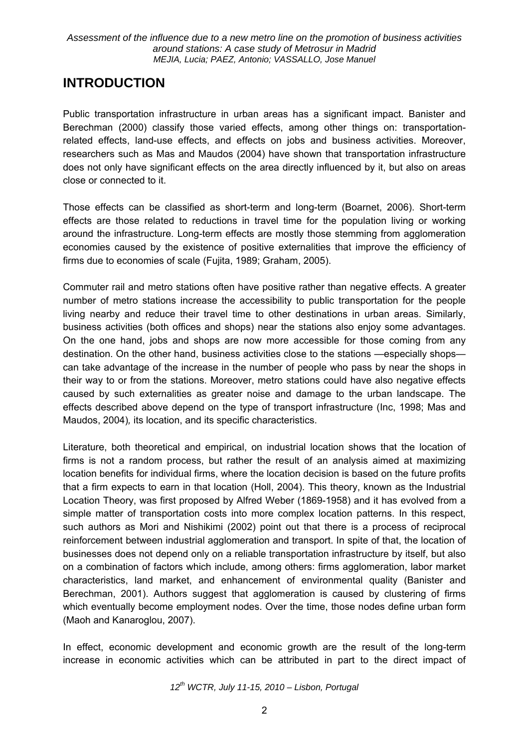# **INTRODUCTION**

Public transportation infrastructure in urban areas has a significant impact. Banister and Berechman (2000) classify those varied effects, among other things on: transportationrelated effects, land-use effects, and effects on jobs and business activities. Moreover, researchers such as Mas and Maudos (2004) have shown that transportation infrastructure does not only have significant effects on the area directly influenced by it, but also on areas close or connected to it.

Those effects can be classified as short-term and long-term (Boarnet, 2006). Short-term effects are those related to reductions in travel time for the population living or working around the infrastructure. Long-term effects are mostly those stemming from agglomeration economies caused by the existence of positive externalities that improve the efficiency of firms due to economies of scale (Fujita, 1989; Graham, 2005).

Commuter rail and metro stations often have positive rather than negative effects. A greater number of metro stations increase the accessibility to public transportation for the people living nearby and reduce their travel time to other destinations in urban areas. Similarly, business activities (both offices and shops) near the stations also enjoy some advantages. On the one hand, jobs and shops are now more accessible for those coming from any destination. On the other hand, business activities close to the stations —especially shops can take advantage of the increase in the number of people who pass by near the shops in their way to or from the stations. Moreover, metro stations could have also negative effects caused by such externalities as greater noise and damage to the urban landscape. The effects described above depend on the type of transport infrastructure (Inc, 1998; Mas and Maudos, 2004)*,* its location, and its specific characteristics.

Literature, both theoretical and empirical, on industrial location shows that the location of firms is not a random process, but rather the result of an analysis aimed at maximizing location benefits for individual firms, where the location decision is based on the future profits that a firm expects to earn in that location (Holl, 2004). This theory, known as the Industrial Location Theory, was first proposed by Alfred Weber (1869-1958) and it has evolved from a simple matter of transportation costs into more complex location patterns. In this respect, such authors as Mori and Nishikimi (2002) point out that there is a process of reciprocal reinforcement between industrial agglomeration and transport. In spite of that, the location of businesses does not depend only on a reliable transportation infrastructure by itself, but also on a combination of factors which include, among others: firms agglomeration, labor market characteristics, land market, and enhancement of environmental quality (Banister and Berechman, 2001). Authors suggest that agglomeration is caused by clustering of firms which eventually become employment nodes. Over the time, those nodes define urban form (Maoh and Kanaroglou, 2007).

In effect, economic development and economic growth are the result of the long-term increase in economic activities which can be attributed in part to the direct impact of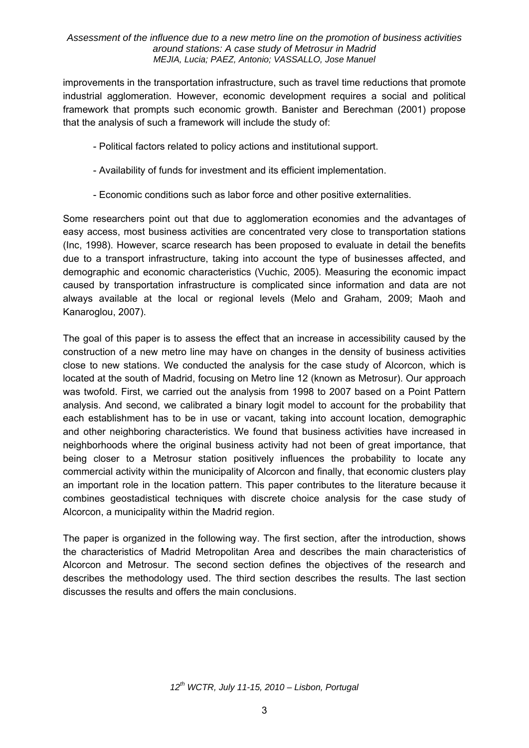improvements in the transportation infrastructure, such as travel time reductions that promote industrial agglomeration. However, economic development requires a social and political framework that prompts such economic growth. Banister and Berechman (2001) propose that the analysis of such a framework will include the study of:

- Political factors related to policy actions and institutional support.
- Availability of funds for investment and its efficient implementation.
- Economic conditions such as labor force and other positive externalities.

Some researchers point out that due to agglomeration economies and the advantages of easy access, most business activities are concentrated very close to transportation stations (Inc, 1998). However, scarce research has been proposed to evaluate in detail the benefits due to a transport infrastructure, taking into account the type of businesses affected, and demographic and economic characteristics (Vuchic, 2005). Measuring the economic impact caused by transportation infrastructure is complicated since information and data are not always available at the local or regional levels (Melo and Graham, 2009; Maoh and Kanaroglou, 2007).

The goal of this paper is to assess the effect that an increase in accessibility caused by the construction of a new metro line may have on changes in the density of business activities close to new stations. We conducted the analysis for the case study of Alcorcon, which is located at the south of Madrid, focusing on Metro line 12 (known as Metrosur). Our approach was twofold. First, we carried out the analysis from 1998 to 2007 based on a Point Pattern analysis. And second, we calibrated a binary logit model to account for the probability that each establishment has to be in use or vacant, taking into account location, demographic and other neighboring characteristics. We found that business activities have increased in neighborhoods where the original business activity had not been of great importance, that being closer to a Metrosur station positively influences the probability to locate any commercial activity within the municipality of Alcorcon and finally, that economic clusters play an important role in the location pattern. This paper contributes to the literature because it combines geostadistical techniques with discrete choice analysis for the case study of Alcorcon, a municipality within the Madrid region.

The paper is organized in the following way. The first section, after the introduction, shows the characteristics of Madrid Metropolitan Area and describes the main characteristics of Alcorcon and Metrosur. The second section defines the objectives of the research and describes the methodology used. The third section describes the results. The last section discusses the results and offers the main conclusions.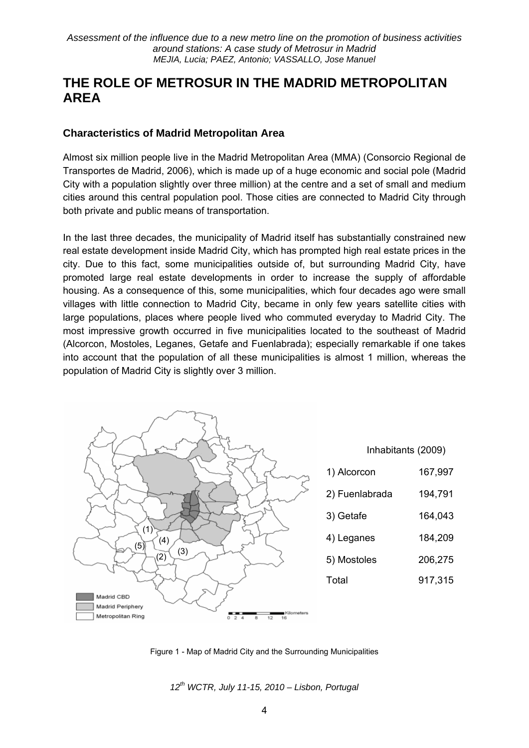## **THE ROLE OF METROSUR IN THE MADRID METROPOLITAN AREA**

### **Characteristics of Madrid Metropolitan Area**

Almost six million people live in the Madrid Metropolitan Area (MMA) (Consorcio Regional de Transportes de Madrid, 2006), which is made up of a huge economic and social pole (Madrid City with a population slightly over three million) at the centre and a set of small and medium cities around this central population pool. Those cities are connected to Madrid City through both private and public means of transportation.

In the last three decades, the municipality of Madrid itself has substantially constrained new real estate development inside Madrid City, which has prompted high real estate prices in the city. Due to this fact, some municipalities outside of, but surrounding Madrid City, have promoted large real estate developments in order to increase the supply of affordable housing. As a consequence of this, some municipalities, which four decades ago were small villages with little connection to Madrid City, became in only few years satellite cities with large populations, places where people lived who commuted everyday to Madrid City. The most impressive growth occurred in five municipalities located to the southeast of Madrid (Alcorcon, Mostoles, Leganes, Getafe and Fuenlabrada); especially remarkable if one takes into account that the population of all these municipalities is almost 1 million, whereas the population of Madrid City is slightly over 3 million.



Figure 1 - Map of Madrid City and the Surrounding Municipalities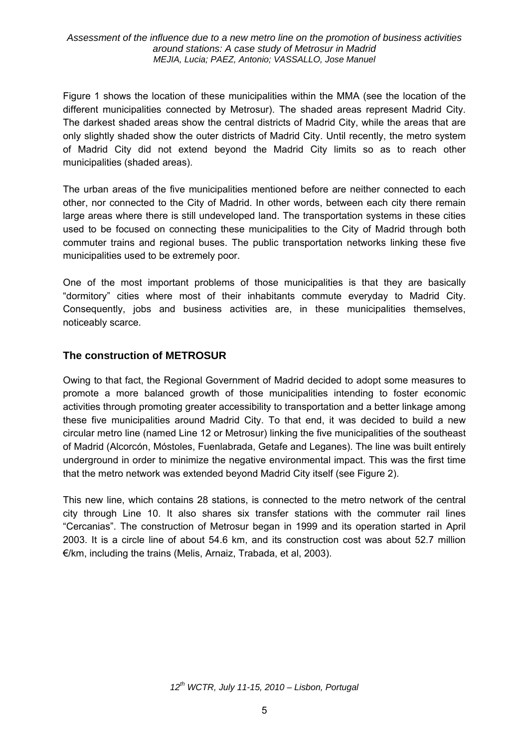Figure 1 shows the location of these municipalities within the MMA (see the location of the different municipalities connected by Metrosur). The shaded areas represent Madrid City. The darkest shaded areas show the central districts of Madrid City, while the areas that are only slightly shaded show the outer districts of Madrid City. Until recently, the metro system of Madrid City did not extend beyond the Madrid City limits so as to reach other municipalities (shaded areas).

The urban areas of the five municipalities mentioned before are neither connected to each other, nor connected to the City of Madrid. In other words, between each city there remain large areas where there is still undeveloped land. The transportation systems in these cities used to be focused on connecting these municipalities to the City of Madrid through both commuter trains and regional buses. The public transportation networks linking these five municipalities used to be extremely poor.

One of the most important problems of those municipalities is that they are basically "dormitory" cities where most of their inhabitants commute everyday to Madrid City. Consequently, jobs and business activities are, in these municipalities themselves, noticeably scarce.

### **The construction of METROSUR**

Owing to that fact, the Regional Government of Madrid decided to adopt some measures to promote a more balanced growth of those municipalities intending to foster economic activities through promoting greater accessibility to transportation and a better linkage among these five municipalities around Madrid City. To that end, it was decided to build a new circular metro line (named Line 12 or Metrosur) linking the five municipalities of the southeast of Madrid (Alcorcón, Móstoles, Fuenlabrada, Getafe and Leganes). The line was built entirely underground in order to minimize the negative environmental impact. This was the first time that the metro network was extended beyond Madrid City itself (see Figure 2).

This new line, which contains 28 stations, is connected to the metro network of the central city through Line 10. It also shares six transfer stations with the commuter rail lines "Cercanias". The construction of Metrosur began in 1999 and its operation started in April 2003. It is a circle line of about 54.6 km, and its construction cost was about 52.7 million €/km, including the trains (Melis, Arnaiz, Trabada, et al, 2003).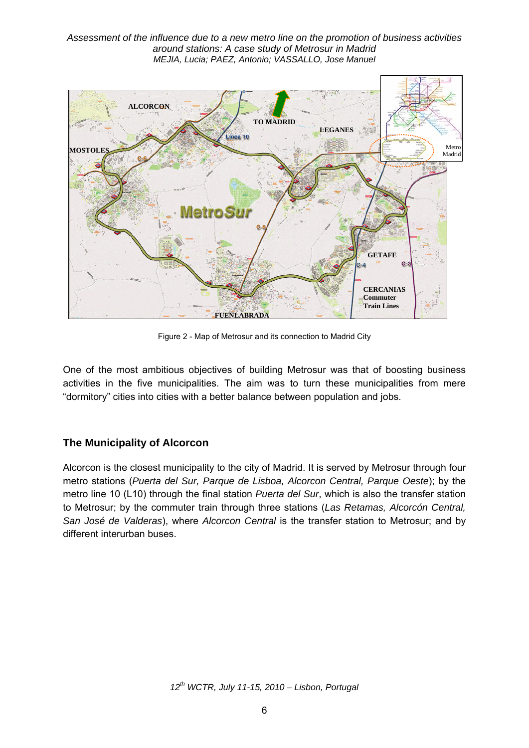![](_page_5_Figure_1.jpeg)

Figure 2 - Map of Metrosur and its connection to Madrid City

One of the most ambitious objectives of building Metrosur was that of boosting business activities in the five municipalities. The aim was to turn these municipalities from mere "dormitory" cities into cities with a better balance between population and jobs.

## **The Municipality of Alcorcon**

Alcorcon is the closest municipality to the city of Madrid. It is served by Metrosur through four metro stations (*Puerta del Sur, Parque de Lisboa, Alcorcon Central, Parque Oeste*); by the metro line 10 (L10) through the final station *Puerta del Sur*, which is also the transfer station to Metrosur; by the commuter train through three stations (*Las Retamas, Alcorcón Central, San José de Valderas*), where *Alcorcon Central* is the transfer station to Metrosur; and by different interurban buses.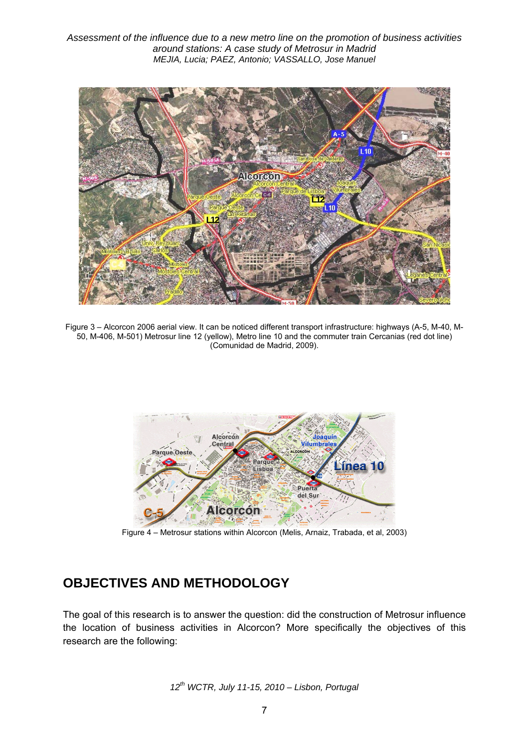![](_page_6_Figure_1.jpeg)

Figure 3 – Alcorcon 2006 aerial view. It can be noticed different transport infrastructure: highways (A-5, M-40, M-50, M-406, M-501) Metrosur line 12 (yellow), Metro line 10 and the commuter train Cercanias (red dot line) (Comunidad de Madrid, 2009).

![](_page_6_Figure_3.jpeg)

Figure 4 – Metrosur stations within Alcorcon (Melis, Arnaiz, Trabada, et al, 2003)

# **OBJECTIVES AND METHODOLOGY**

The goal of this research is to answer the question: did the construction of Metrosur influence the location of business activities in Alcorcon? More specifically the objectives of this research are the following:

$$
12^{th}
$$
 WCTR, July 11-15, 2010 – Lisbon, Portugal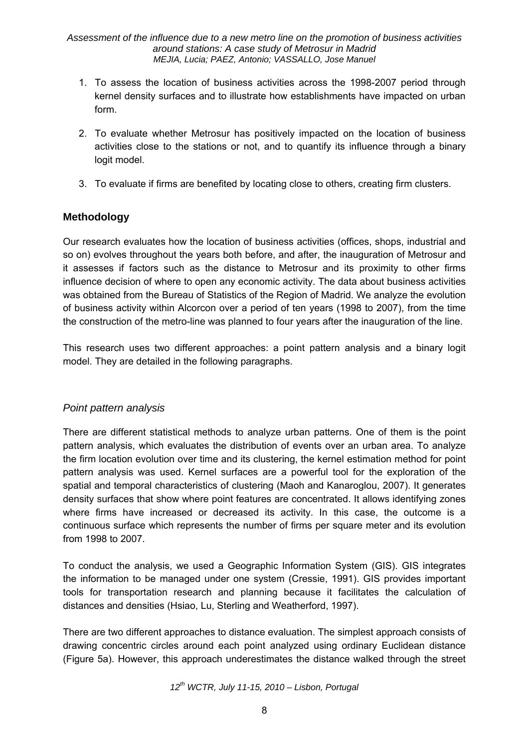- 1. To assess the location of business activities across the 1998-2007 period through kernel density surfaces and to illustrate how establishments have impacted on urban form.
- 2. To evaluate whether Metrosur has positively impacted on the location of business activities close to the stations or not, and to quantify its influence through a binary logit model.
- 3. To evaluate if firms are benefited by locating close to others, creating firm clusters.

## **Methodology**

Our research evaluates how the location of business activities (offices, shops, industrial and so on) evolves throughout the years both before, and after, the inauguration of Metrosur and it assesses if factors such as the distance to Metrosur and its proximity to other firms influence decision of where to open any economic activity. The data about business activities was obtained from the Bureau of Statistics of the Region of Madrid. We analyze the evolution of business activity within Alcorcon over a period of ten years (1998 to 2007), from the time the construction of the metro-line was planned to four years after the inauguration of the line.

This research uses two different approaches: a point pattern analysis and a binary logit model. They are detailed in the following paragraphs.

## *Point pattern analysis*

There are different statistical methods to analyze urban patterns. One of them is the point pattern analysis, which evaluates the distribution of events over an urban area. To analyze the firm location evolution over time and its clustering, the kernel estimation method for point pattern analysis was used. Kernel surfaces are a powerful tool for the exploration of the spatial and temporal characteristics of clustering (Maoh and Kanaroglou, 2007). It generates density surfaces that show where point features are concentrated. It allows identifying zones where firms have increased or decreased its activity. In this case, the outcome is a continuous surface which represents the number of firms per square meter and its evolution from 1998 to 2007.

To conduct the analysis, we used a Geographic Information System (GIS). GIS integrates the information to be managed under one system (Cressie, 1991). GIS provides important tools for transportation research and planning because it facilitates the calculation of distances and densities (Hsiao, Lu, Sterling and Weatherford, 1997).

There are two different approaches to distance evaluation. The simplest approach consists of drawing concentric circles around each point analyzed using ordinary Euclidean distance (Figure 5a). However, this approach underestimates the distance walked through the street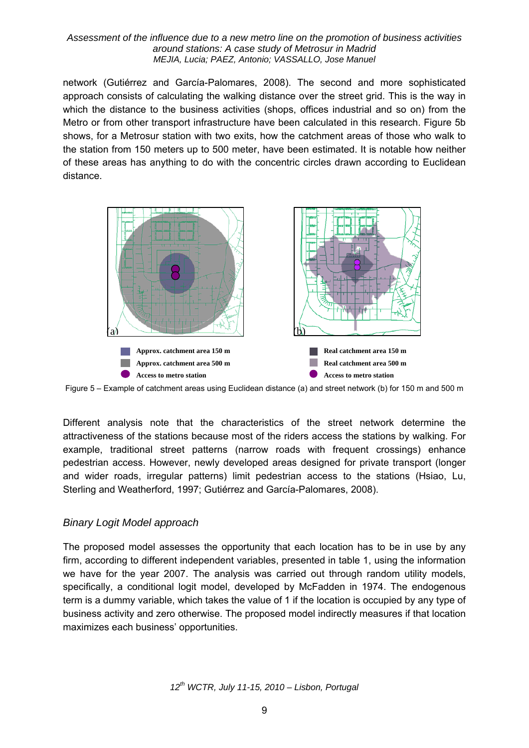network (Gutiérrez and García-Palomares, 2008). The second and more sophisticated approach consists of calculating the walking distance over the street grid. This is the way in which the distance to the business activities (shops, offices industrial and so on) from the Metro or from other transport infrastructure have been calculated in this research. Figure 5b shows, for a Metrosur station with two exits, how the catchment areas of those who walk to the station from 150 meters up to 500 meter, have been estimated. It is notable how neither of these areas has anything to do with the concentric circles drawn according to Euclidean distance.

![](_page_8_Figure_2.jpeg)

Figure 5 – Example of catchment areas using Euclidean distance (a) and street network (b) for 150 m and 500 m

Different analysis note that the characteristics of the street network determine the attractiveness of the stations because most of the riders access the stations by walking. For example, traditional street patterns (narrow roads with frequent crossings) enhance pedestrian access. However, newly developed areas designed for private transport (longer and wider roads, irregular patterns) limit pedestrian access to the stations (Hsiao, Lu, Sterling and Weatherford, 1997; Gutiérrez and García-Palomares, 2008).

### *Binary Logit Model approach*

The proposed model assesses the opportunity that each location has to be in use by any firm, according to different independent variables, presented in table 1, using the information we have for the year 2007. The analysis was carried out through random utility models, specifically, a conditional logit model, developed by McFadden in 1974. The endogenous term is a dummy variable, which takes the value of 1 if the location is occupied by any type of business activity and zero otherwise. The proposed model indirectly measures if that location maximizes each business' opportunities.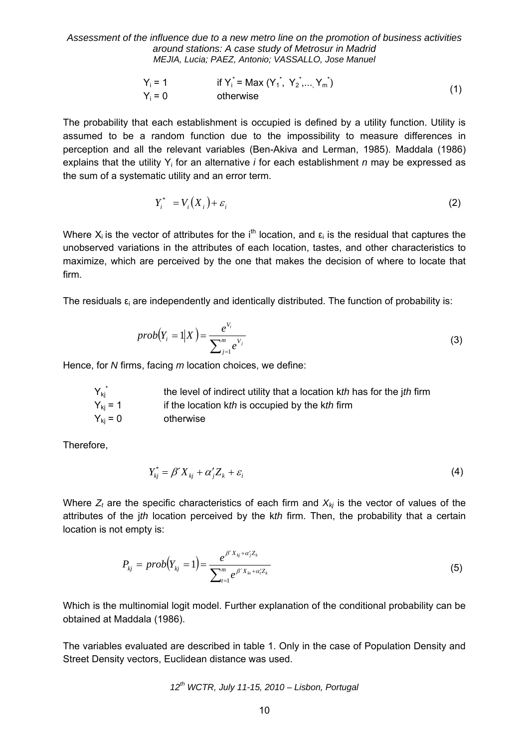$$
Y_i = 1
$$
 if  $Y_i^* = \text{Max}(Y_1^*, Y_2^*, \dots, Y_m^*)$   
\n
$$
Y_i = 0
$$
 otherwise (1)

The probability that each establishment is occupied is defined by a utility function. Utility is assumed to be a random function due to the impossibility to measure differences in perception and all the relevant variables (Ben-Akiva and Lerman, 1985). Maddala (1986) explains that the utility Yi for an alternative *i* for each establishment *n* may be expressed as the sum of a systematic utility and an error term.

$$
Y_i^* = V_i(X_i) + \varepsilon_i \tag{2}
$$

Where  $X_i$  is the vector of attributes for the i<sup>th</sup> location, and  $\varepsilon_i$  is the residual that captures the unobserved variations in the attributes of each location, tastes, and other characteristics to maximize, which are perceived by the one that makes the decision of where to locate that firm.

The residuals  $\varepsilon_i$  are independently and identically distributed. The function of probability is:

$$
prob(Y_i = 1|X) = \frac{e^{V_i}}{\sum_{j=1}^{m} e^{V_j}}
$$
\n(3)

Hence, for *N* firms, facing *m* location choices, we define:

| $Y_{ki}^*$       | the level of indirect utility that a location kth has for the jth firm |
|------------------|------------------------------------------------------------------------|
| $Y_{\rm ki} = 1$ | if the location kth is occupied by the kth firm                        |
| $Y_{ki} = 0$     | otherwise                                                              |

Therefore,

$$
Y_{kj}^* = \beta' X_{kj} + \alpha'_j Z_k + \varepsilon_i \tag{4}
$$

Where  $Z_t$  are the specific characteristics of each firm and  $X_{kj}$  is the vector of values of the attributes of the j*th* location perceived by the k*th* firm. Then, the probability that a certain location is not empty is:

$$
P_{kj} = prob(Y_{kj} = 1) = \frac{e^{\beta' X_{kj} + \alpha'_j Z_k}}{\sum_{i=1}^{m} e^{\beta' X_{ki} + \alpha'_i Z_k}}
$$
(5)

Which is the multinomial logit model. Further explanation of the conditional probability can be obtained at Maddala (1986).

The variables evaluated are described in table 1. Only in the case of Population Density and Street Density vectors, Euclidean distance was used.

$$
12^{th}
$$
 WCTR, July 11-15, 2010 – Lisbon, Portugal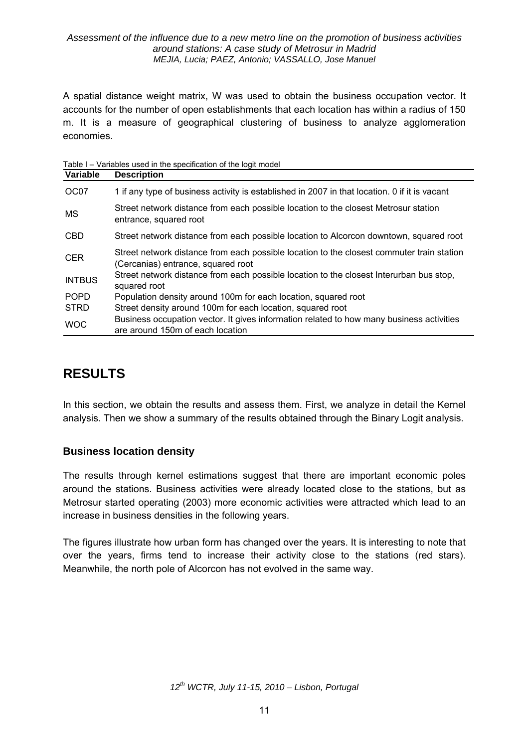A spatial distance weight matrix, W was used to obtain the business occupation vector. It accounts for the number of open establishments that each location has within a radius of 150 m. It is a measure of geographical clustering of business to analyze agglomeration economies.

Table I – Variables used in the specification of the logit model

| Variable      | <b>Description</b>                                                                                                              |
|---------------|---------------------------------------------------------------------------------------------------------------------------------|
| OC07          | 1 if any type of business activity is established in 2007 in that location. 0 if it is vacant                                   |
| <b>MS</b>     | Street network distance from each possible location to the closest Metrosur station<br>entrance, squared root                   |
| <b>CBD</b>    | Street network distance from each possible location to Alcorcon downtown, squared root                                          |
| <b>CER</b>    | Street network distance from each possible location to the closest commuter train station<br>(Cercanias) entrance, squared root |
| <b>INTBUS</b> | Street network distance from each possible location to the closest Interurban bus stop,<br>squared root                         |
| <b>POPD</b>   | Population density around 100m for each location, squared root                                                                  |
| <b>STRD</b>   | Street density around 100m for each location, squared root                                                                      |
| <b>WOC</b>    | Business occupation vector. It gives information related to how many business activities<br>are around 150m of each location    |

# **RESULTS**

In this section, we obtain the results and assess them. First, we analyze in detail the Kernel analysis. Then we show a summary of the results obtained through the Binary Logit analysis.

### **Business location density**

The results through kernel estimations suggest that there are important economic poles around the stations. Business activities were already located close to the stations, but as Metrosur started operating (2003) more economic activities were attracted which lead to an increase in business densities in the following years.

The figures illustrate how urban form has changed over the years. It is interesting to note that over the years, firms tend to increase their activity close to the stations (red stars). Meanwhile, the north pole of Alcorcon has not evolved in the same way.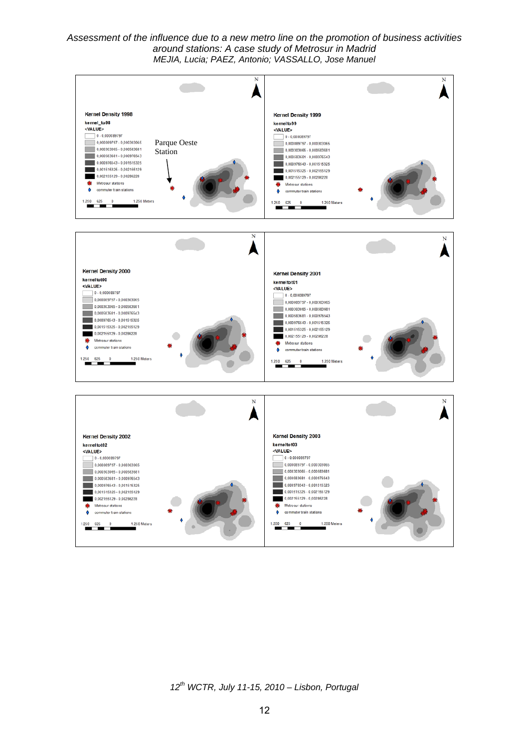![](_page_11_Figure_1.jpeg)

*12th WCTR, July 11-15, 2010 – Lisbon, Portugal*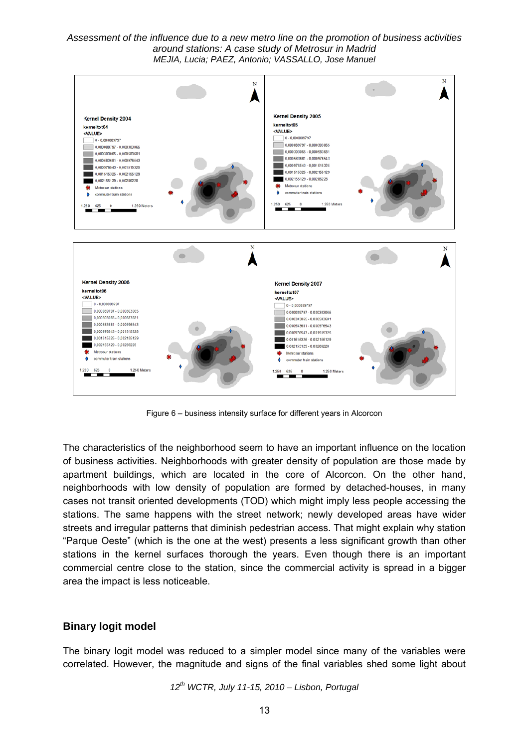![](_page_12_Figure_1.jpeg)

Figure 6 – business intensity surface for different years in Alcorcon

The characteristics of the neighborhood seem to have an important influence on the location of business activities. Neighborhoods with greater density of population are those made by apartment buildings, which are located in the core of Alcorcon. On the other hand, neighborhoods with low density of population are formed by detached-houses, in many cases not transit oriented developments (TOD) which might imply less people accessing the stations. The same happens with the street network; newly developed areas have wider streets and irregular patterns that diminish pedestrian access. That might explain why station "Parque Oeste" (which is the one at the west) presents a less significant growth than other stations in the kernel surfaces thorough the years. Even though there is an important commercial centre close to the station, since the commercial activity is spread in a bigger area the impact is less noticeable.

### **Binary logit model**

The binary logit model was reduced to a simpler model since many of the variables were correlated. However, the magnitude and signs of the final variables shed some light about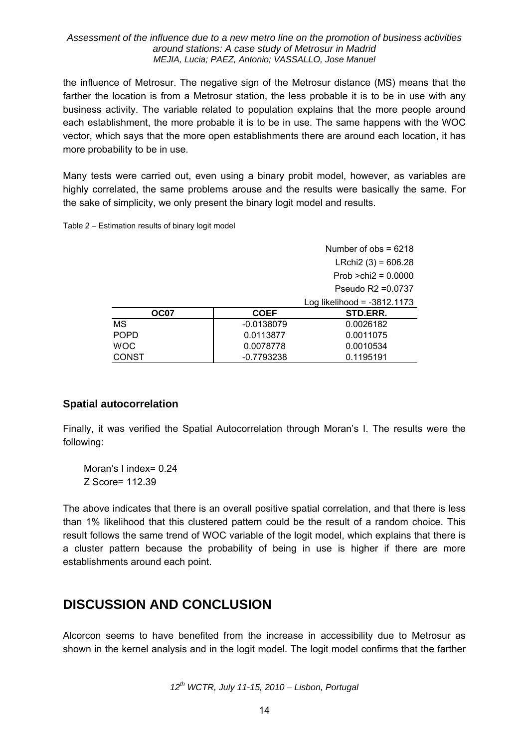the influence of Metrosur. The negative sign of the Metrosur distance (MS) means that the farther the location is from a Metrosur station, the less probable it is to be in use with any business activity. The variable related to population explains that the more people around each establishment, the more probable it is to be in use. The same happens with the WOC vector, which says that the more open establishments there are around each location, it has more probability to be in use.

Many tests were carried out, even using a binary probit model, however, as variables are highly correlated, the same problems arouse and the results were basically the same. For the sake of simplicity, we only present the binary logit model and results.

Table 2 – Estimation results of binary logit model

|              |              | Number of $obs = 6218$        |
|--------------|--------------|-------------------------------|
|              |              | LRchi2 $(3) = 606.28$         |
|              |              | Prob $>chi2 = 0.0000$         |
|              |              | Pseudo $R2 = 0.0737$          |
|              |              | Log likelihood = $-3812.1173$ |
| OC07         | <b>COEF</b>  | STD.ERR.                      |
| МS           | $-0.0138079$ | 0.0026182                     |
| <b>POPD</b>  | 0.0113877    | 0.0011075                     |
| <b>WOC</b>   | 0.0078778    | 0.0010534                     |
| <b>CONST</b> | $-0.7793238$ | 0.1195191                     |

### **Spatial autocorrelation**

Finally, it was verified the Spatial Autocorrelation through Moran's I. The results were the following:

Moran's I index= 0.24 Z Score= 112.39

The above indicates that there is an overall positive spatial correlation, and that there is less than 1% likelihood that this clustered pattern could be the result of a random choice. This result follows the same trend of WOC variable of the logit model, which explains that there is a cluster pattern because the probability of being in use is higher if there are more establishments around each point.

# **DISCUSSION AND CONCLUSION**

Alcorcon seems to have benefited from the increase in accessibility due to Metrosur as shown in the kernel analysis and in the logit model. The logit model confirms that the farther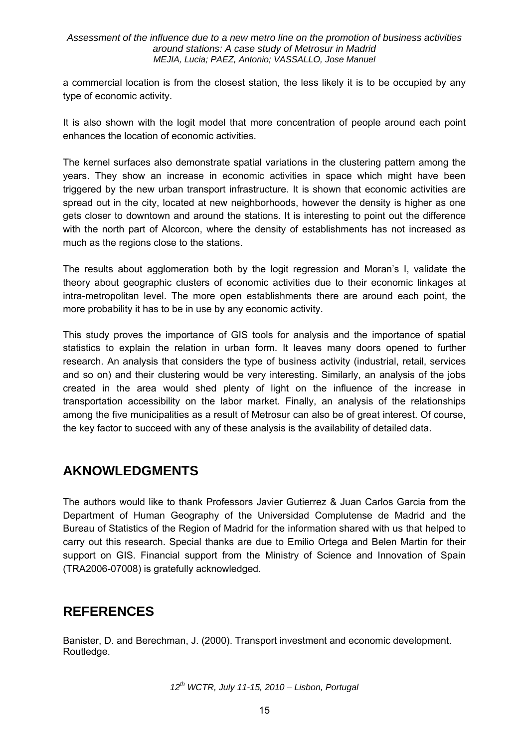a commercial location is from the closest station, the less likely it is to be occupied by any type of economic activity.

It is also shown with the logit model that more concentration of people around each point enhances the location of economic activities.

The kernel surfaces also demonstrate spatial variations in the clustering pattern among the years. They show an increase in economic activities in space which might have been triggered by the new urban transport infrastructure. It is shown that economic activities are spread out in the city, located at new neighborhoods, however the density is higher as one gets closer to downtown and around the stations. It is interesting to point out the difference with the north part of Alcorcon, where the density of establishments has not increased as much as the regions close to the stations.

The results about agglomeration both by the logit regression and Moran's I, validate the theory about geographic clusters of economic activities due to their economic linkages at intra-metropolitan level. The more open establishments there are around each point, the more probability it has to be in use by any economic activity.

This study proves the importance of GIS tools for analysis and the importance of spatial statistics to explain the relation in urban form. It leaves many doors opened to further research. An analysis that considers the type of business activity (industrial, retail, services and so on) and their clustering would be very interesting. Similarly, an analysis of the jobs created in the area would shed plenty of light on the influence of the increase in transportation accessibility on the labor market. Finally, an analysis of the relationships among the five municipalities as a result of Metrosur can also be of great interest. Of course, the key factor to succeed with any of these analysis is the availability of detailed data.

## **AKNOWLEDGMENTS**

The authors would like to thank Professors Javier Gutierrez & Juan Carlos Garcia from the Department of Human Geography of the Universidad Complutense de Madrid and the Bureau of Statistics of the Region of Madrid for the information shared with us that helped to carry out this research. Special thanks are due to Emilio Ortega and Belen Martin for their support on GIS. Financial support from the Ministry of Science and Innovation of Spain (TRA2006-07008) is gratefully acknowledged.

# **REFERENCES**

Banister, D. and Berechman, J. (2000). Transport investment and economic development. Routledge.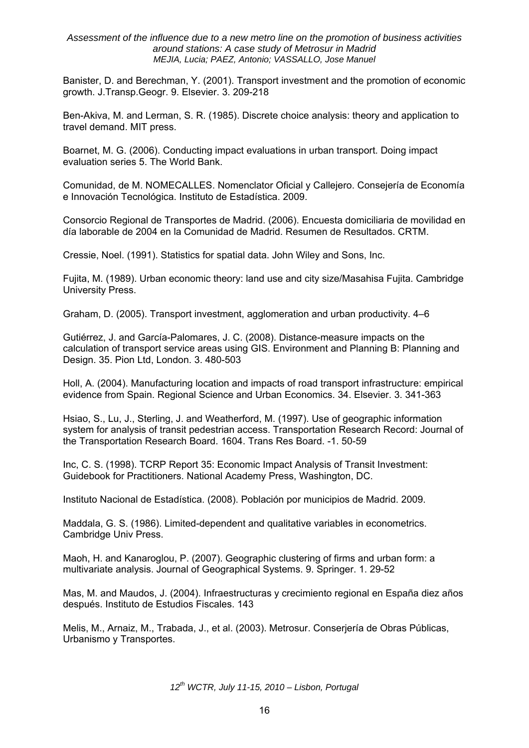Banister, D. and Berechman, Y. (2001). Transport investment and the promotion of economic growth. J.Transp.Geogr. 9. Elsevier. 3. 209-218

Ben-Akiva, M. and Lerman, S. R. (1985). Discrete choice analysis: theory and application to travel demand. MIT press.

Boarnet, M. G. (2006). Conducting impact evaluations in urban transport. Doing impact evaluation series 5. The World Bank.

Comunidad, de M. NOMECALLES. Nomenclator Oficial y Callejero. Consejería de Economía e Innovación Tecnológica. Instituto de Estadística. 2009.

Consorcio Regional de Transportes de Madrid. (2006). Encuesta domiciliaria de movilidad en día laborable de 2004 en la Comunidad de Madrid. Resumen de Resultados. CRTM.

Cressie, Noel. (1991). Statistics for spatial data. John Wiley and Sons, Inc.

Fujita, M. (1989). Urban economic theory: land use and city size/Masahisa Fujita. Cambridge University Press.

Graham, D. (2005). Transport investment, agglomeration and urban productivity. 4–6

Gutiérrez, J. and García-Palomares, J. C. (2008). Distance-measure impacts on the calculation of transport service areas using GIS. Environment and Planning B: Planning and Design. 35. Pion Ltd, London. 3. 480-503

Holl, A. (2004). Manufacturing location and impacts of road transport infrastructure: empirical evidence from Spain. Regional Science and Urban Economics. 34. Elsevier. 3. 341-363

Hsiao, S., Lu, J., Sterling, J. and Weatherford, M. (1997). Use of geographic information system for analysis of transit pedestrian access. Transportation Research Record: Journal of the Transportation Research Board. 1604. Trans Res Board. -1. 50-59

Inc, C. S. (1998). TCRP Report 35: Economic Impact Analysis of Transit Investment: Guidebook for Practitioners. National Academy Press, Washington, DC.

Instituto Nacional de Estadística. (2008). Población por municipios de Madrid. 2009.

Maddala, G. S. (1986). Limited-dependent and qualitative variables in econometrics. Cambridge Univ Press.

Maoh, H. and Kanaroglou, P. (2007). Geographic clustering of firms and urban form: a multivariate analysis. Journal of Geographical Systems. 9. Springer. 1. 29-52

Mas, M. and Maudos, J. (2004). Infraestructuras y crecimiento regional en España diez años después. Instituto de Estudios Fiscales. 143

Melis, M., Arnaiz, M., Trabada, J., et al. (2003). Metrosur. Conserjería de Obras Públicas, Urbanismo y Transportes.